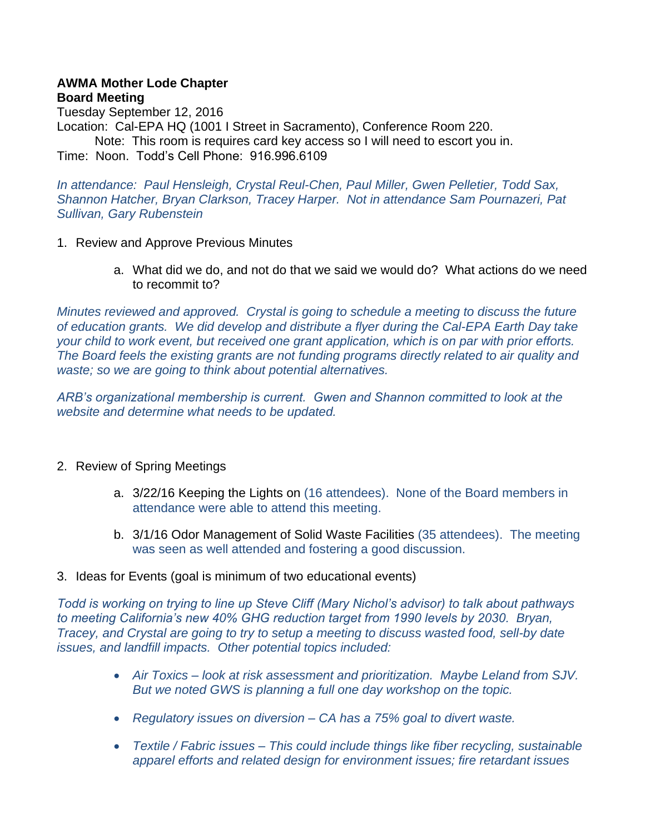#### **AWMA Mother Lode Chapter Board Meeting**

Tuesday September 12, 2016 Location: Cal-EPA HQ (1001 I Street in Sacramento), Conference Room 220. Note: This room is requires card key access so I will need to escort you in. Time: Noon. Todd's Cell Phone: 916.996.6109

*In attendance: Paul Hensleigh, Crystal Reul-Chen, Paul Miller, Gwen Pelletier, Todd Sax, Shannon Hatcher, Bryan Clarkson, Tracey Harper. Not in attendance Sam Pournazeri, Pat Sullivan, Gary Rubenstein*

- 1. Review and Approve Previous Minutes
	- a. What did we do, and not do that we said we would do? What actions do we need to recommit to?

*Minutes reviewed and approved. Crystal is going to schedule a meeting to discuss the future of education grants. We did develop and distribute a flyer during the Cal-EPA Earth Day take your child to work event, but received one grant application, which is on par with prior efforts. The Board feels the existing grants are not funding programs directly related to air quality and waste; so we are going to think about potential alternatives.* 

*ARB's organizational membership is current. Gwen and Shannon committed to look at the website and determine what needs to be updated.* 

### 2. Review of Spring Meetings

- a. 3/22/16 Keeping the Lights on (16 attendees). None of the Board members in attendance were able to attend this meeting.
- b. 3/1/16 Odor Management of Solid Waste Facilities (35 attendees). The meeting was seen as well attended and fostering a good discussion.
- 3. Ideas for Events (goal is minimum of two educational events)

*Todd is working on trying to line up Steve Cliff (Mary Nichol's advisor) to talk about pathways to meeting California's new 40% GHG reduction target from 1990 levels by 2030. Bryan, Tracey, and Crystal are going to try to setup a meeting to discuss wasted food, sell-by date issues, and landfill impacts. Other potential topics included:*

- *Air Toxics – look at risk assessment and prioritization. Maybe Leland from SJV. But we noted GWS is planning a full one day workshop on the topic.*
- *Regulatory issues on diversion – CA has a 75% goal to divert waste.*
- *Textile / Fabric issues – This could include things like fiber recycling, sustainable apparel efforts and related design for environment issues; fire retardant issues*